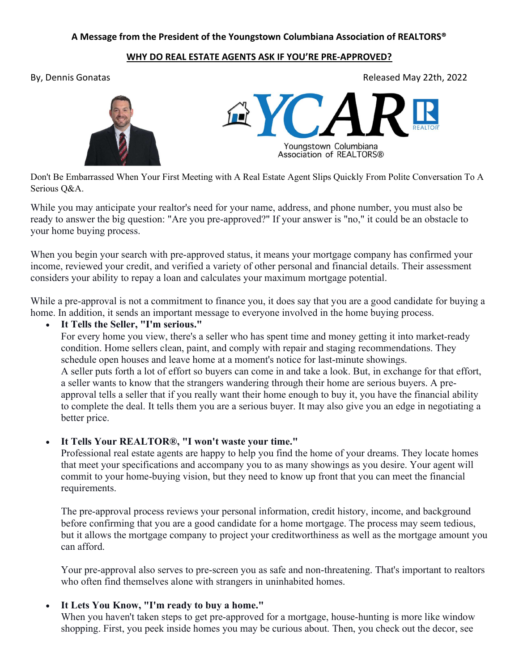## A Message from the President of the Youngstown Columbiana Association of REALTORS®

## WHY DO REAL ESTATE AGENTS ASK IF YOU'RE PRE-APPROVED?

By, Dennis Gonatas Released May 22th, 2022



Don't Be Embarrassed When Your First Meeting with A Real Estate Agent Slips Quickly From Polite Conversation To A Serious Q&A.

While you may anticipate your realtor's need for your name, address, and phone number, you must also be ready to answer the big question: "Are you pre-approved?" If your answer is "no," it could be an obstacle to your home buying process.

When you begin your search with pre-approved status, it means your mortgage company has confirmed your income, reviewed your credit, and verified a variety of other personal and financial details. Their assessment considers your ability to repay a loan and calculates your maximum mortgage potential.

While a pre-approval is not a commitment to finance you, it does say that you are a good candidate for buying a home. In addition, it sends an important message to everyone involved in the home buying process.

It Tells the Seller, "I'm serious."

For every home you view, there's a seller who has spent time and money getting it into market-ready condition. Home sellers clean, paint, and comply with repair and staging recommendations. They schedule open houses and leave home at a moment's notice for last-minute showings. A seller puts forth a lot of effort so buyers can come in and take a look. But, in exchange for that effort, a seller wants to know that the strangers wandering through their home are serious buyers. A preapproval tells a seller that if you really want their home enough to buy it, you have the financial ability to complete the deal. It tells them you are a serious buyer. It may also give you an edge in negotiating a better price.

It Tells Your REALTOR®, "I won't waste your time."

Professional real estate agents are happy to help you find the home of your dreams. They locate homes that meet your specifications and accompany you to as many showings as you desire. Your agent will commit to your home-buying vision, but they need to know up front that you can meet the financial requirements.

The pre-approval process reviews your personal information, credit history, income, and background before confirming that you are a good candidate for a home mortgage. The process may seem tedious, but it allows the mortgage company to project your creditworthiness as well as the mortgage amount you can afford.

Your pre-approval also serves to pre-screen you as safe and non-threatening. That's important to realtors who often find themselves alone with strangers in uninhabited homes.

## It Lets You Know, "I'm ready to buy a home."

When you haven't taken steps to get pre-approved for a mortgage, house-hunting is more like window shopping. First, you peek inside homes you may be curious about. Then, you check out the decor, see